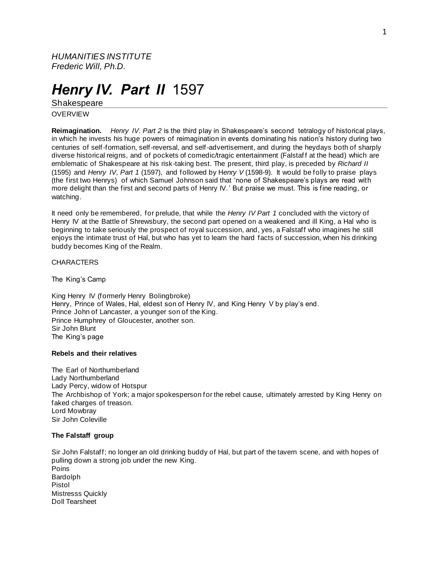*HUMANITIES INSTITUTE Frederic Will, Ph.D.*

# *Henry IV. Part II* 1597

Shakespeare

OVERVIEW

**Reimagination.** *Henry IV. Part 2* is the third play in Shakespeare's second tetralogy of historical plays, in which he invests his huge powers of reimagination in events dominating his nation's history during two centuries of self-formation, self-reversal, and self-advertisement, and during the heydays both of sharply diverse historical reigns, and of pockets of comedic/tragic entertainment (Falstaff at the head) which are emblematic of Shakespeare at his risk-taking best. The present, third play, is preceded by *Richard II* (1595) and *Henry IV, Part 1* (1597), and followed by H*enry V* (1598-9). It would be folly to praise plays (the first two Henrys) of which Samuel Johnson said that 'none of Shakespeare's plays are read with more delight than the first and second parts of Henry IV.' But praise we must. This is fine reading, or watching.

It need only be remembered, for prelude, that while the *Henry IV Part 1* concluded with the victory of Henry IV at the Battle of Shrewsbury, the second part opened on a weakened and ill King, a Hal who is beginning to take seriously the prospect of royal succession, and, yes, a Falstaff who imagines he still enjoys the intimate trust of Hal, but who has yet to learn the hard facts of succession, when his drinking buddy becomes King of the Realm.

**CHARACTERS** 

The King's Camp

King Henry IV (formerly Henry Bolingbroke) Henry, Prince of Wales, Hal, eldest son of Henry IV, and King Henry V by play's end. Prince John of Lancaster, a younger son of the King. Prince Humphrey of Gloucester, another son. Sir John Blunt The King's page

## **Rebels and their relatives**

The Earl of Northumberland Lady Northumberland Lady Percy, widow of Hotspur The Archbishop of York; a major spokesperson for the rebel cause, ultimately arrested by King Henry on faked charges of treason. Lord Mowbray Sir John Coleville

# **The Falstaff group**

Sir John Falstaff; no longer an old drinking buddy of Hal, but part of the tavern scene, and with hopes of pulling down a strong job under the new King. Poins Bardolph Pistol Mistresss Quickly Doll Tearsheet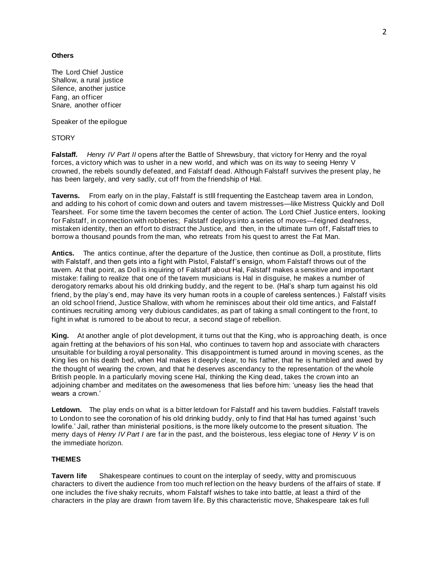## **Others**

The Lord Chief Justice Shallow, a rural justice Silence, another justice Fang, an officer Snare, another officer

Speaker of the epilogue

**STORY** 

**Falstaff.** *Henry IV Part II* opens after the Battle of Shrewsbury, that victory for Henry and the royal forces, a victory which was to usher in a new world, and which was on its way to seeing Henry V crowned, the rebels soundly defeated, and Falstaff dead. Although Falstaff survives the present play, he has been largely, and very sadly, cut off from the friendship of Hal.

**Taverns.** From early on in the play, Falstaff is stlll frequenting the Eastcheap tavern area in London, and adding to his cohort of comic down and outers and tavern mistresses—like Mistress Quickly and Doll Tearsheet. For some time the tavern becomes the center of action. The Lord Chief Justice enters, looking for Falstaff, in connection with robberies; Falstaff deploys into a series of moves—feigned deafness, mistaken identity, then an effort to distract the Justice, and then, in the ultimate turn off, Falstaff tries to borrow a thousand pounds from the man, who retreats from his quest to arrest the Fat Man.

**Antics.** The antics continue, after the departure of the Justice, then continue as Doll, a prostitute, flirts with Falstaff, and then gets into a fight with Pistol, Falstaff's ensign, whom Falstaff throws out of the tavern. At that point, as Doll is inquiring of Falstaff about Hal, Falstaff makes a sensitive and important mistake: failing to realize that one of the tavern musicians is Hal in disguise, he makes a number of derogatory remarks about his old drinking buddy, and the regent to be. (Hal's sharp turn against his old friend, by the play's end, may have its very human roots in a couple of careless sentences.) Falstaff visits an old school friend, Justice Shallow, with whom he reminisces about their old time antics, and Falstaff continues recruiting among very dubious candidates, as part of taking a small contingent to the front, to fight in what is rumored to be about to recur, a second stage of rebellion.

**King.** At another angle of plot development, it turns out that the King, who is approaching death, is once again fretting at the behaviors of his son Hal, who continues to tavern hop and associate with characters unsuitable for building a royal personality. This disappointment is turned around in moving scenes, as the King lies on his death bed, when Hal makes it deeply clear, to his father, that he is humbled and awed by the thought of wearing the crown, and that he deserves ascendancy to the representation of the whole British people. In a particularly moving scene Hal, thinking the King dead, takes the crown into an adjoining chamber and meditates on the awesomeness that lies before him: 'uneasy lies the head that wears a crown.'

**Letdown.** The play ends on what is a bitter letdown for Falstaff and his tavern buddies. Falstaff travels to London to see the coronation of his old drinking buddy, only to find that Hal has turned against 'such lowlife.' Jail, rather than ministerial positions, is the more likely outcome to the present situation. The merry days of *Henry IV Part I* are far in the past, and the boisterous, less elegiac tone of *Henry V* is on the immediate horizon.

## **THEMES**

**Tavern life** Shakespeare continues to count on the interplay of seedy, witty and promiscuous characters to divert the audience from too much ref lection on the heavy burdens of the affairs of state. If one includes the five shaky recruits, whom Falstaff wishes to take into battle, at least a third of the characters in the play are drawn from tavern life. By this characteristic move, Shakespeare tak es full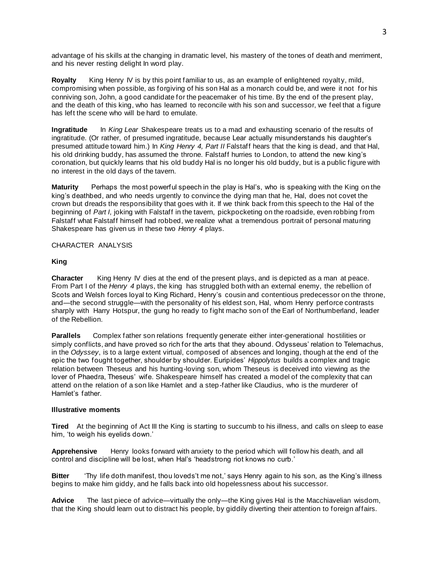advantage of his skills at the changing in dramatic level, his mastery of the tones of death and merriment, and his never resting delight In word play.

**Royalty** King Henry IV is by this point familiar to us, as an example of enlightened royalty, mild, compromising when possible, as forgiving of his son Hal as a monarch could be, and were it not for his conniving son, John, a good candidate for the peacemaker of his time. By the end of the present play, and the death of this king, who has learned to reconcile with his son and successor, we feel that a figure has left the scene who will be hard to emulate.

**Ingratitude** In *King Lear* Shakespeare treats us to a mad and exhausting scenario of the results of ingratitude. (Or rather, of presumed ingratitude, because Lear actually misunderstands his daughter's presumed attitude toward him.) In *King Henry 4, Part II* Falstaff hears that the king is dead, and that Hal, his old drinking buddy, has assumed the throne. Falstaff hurries to London, to attend the new king's coronation, but quickly learns that his old buddy Hal is no longer his old buddy, but is a public figure with no interest in the old days of the tavern.

**Maturity** Perhaps the most powerful speech in the play is Hal's, who is speaking with the King on the king's deathbed, and who needs urgently to convince the dying man that he, Hal, does not covet the crown but dreads the responsibility that goes with it. If we think back from this speech to the Hal of the beginning of *Part I,* joking with Falstaff in the tavern, pickpocketing on the roadside, even robbing from Falstaff what Falstaff himself had robbed, we realize what a tremendous portrait of personal maturing Shakespeare has given us in these two *Henry 4* plays.

## CHARACTER ANALYSIS

## **King**

**Character** King Henry IV dies at the end of the present plays, and is depicted as a man at peace. From Part I of the *Henry 4* plays, the king has struggled both with an external enemy, the rebellion of Scots and Welsh forces loyal to King Richard, Henry's cousin and contentious predecessor on the throne, and—the second struggle—with the personality of his eldest son, Hal, whom Henry perforce contrasts sharply with Harry Hotspur, the gung ho ready to fight macho son of the Earl of Northumberland, leader of the Rebellion.

**Parallels** Complex father son relations frequently generate either inter-generational hostilities or simply conflicts, and have proved so rich for the arts that they abound. Odysseus' relation to Telemachus, in the *Odyssey*, is to a large extent virtual, composed of absences and longing, though at the end of the epic the two fought together, shoulder by shoulder. Euripides' *Hippolytus* builds a complex and tragic relation between Theseus and his hunting-loving son, whom Theseus is deceived into viewing as the lover of Phaedra, Theseus' wife. Shakespeare himself has created a model of the complexity that can attend on the relation of a son like Hamlet and a step-father like Claudius, who is the murderer of Hamlet's father.

#### **Illustrative moments**

**Tired** At the beginning of Act III the King is starting to succumb to his illness, and calls on sleep to ease him, 'to weigh his eyelids down.'

**Apprehensive** Henry looks forward with anxiety to the period which will follow his death, and all control and discipline will be lost, when Hal's 'headstrong riot knows no curb.'

**Bitter** 'Thy life doth manifest, thou loveds't me not,' says Henry again to his son, as the King's illness begins to make him giddy, and he falls back into old hopelessness about his successor.

**Advice** The last piece of advice—virtually the only—the King gives Hal is the Macchiavelian wisdom, that the King should learn out to distract his people, by giddily diverting their attention to foreign affairs.